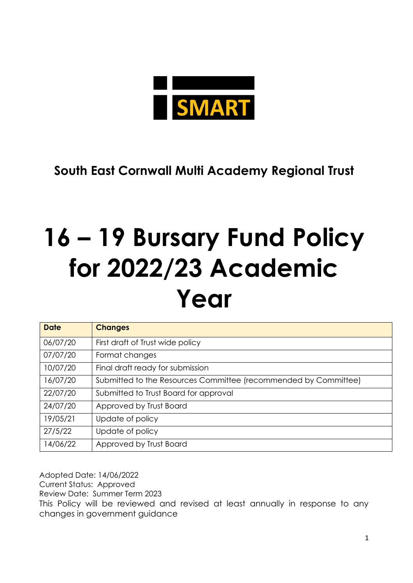

**South East Cornwall Multi Academy Regional Trust**

# **16 – 19 Bursary Fund Policy for 2022/23 Academic Year**

| <b>Date</b> | <b>Changes</b>                                                  |
|-------------|-----------------------------------------------------------------|
| 06/07/20    | First draft of Trust wide policy                                |
| 07/07/20    | Format changes                                                  |
| 10/07/20    | Final draft ready for submission                                |
| 16/07/20    | Submitted to the Resources Committee (recommended by Committee) |
| 22/07/20    | Submitted to Trust Board for approval                           |
| 24/07/20    | Approved by Trust Board                                         |
| 19/05/21    | Update of policy                                                |
| 27/5/22     | Update of policy                                                |
| 14/06/22    | Approved by Trust Board                                         |

Adopted Date: 14/06/2022 Current Status: Approved Review Date: Summer Term 2023 This Policy will be reviewed and revised at least annually in response to any changes in government guidance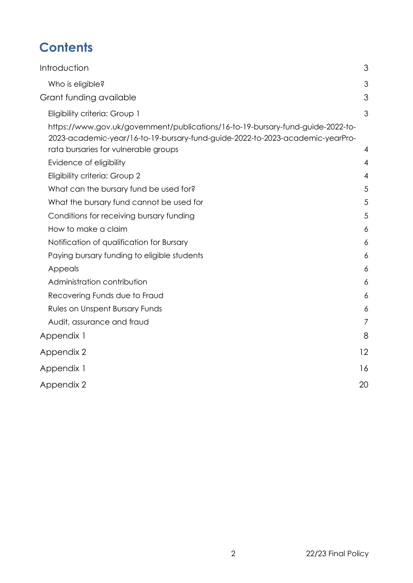## **Contents**

| <b>Introduction</b>                                                                                                                                              | 3              |
|------------------------------------------------------------------------------------------------------------------------------------------------------------------|----------------|
| Who is eligible?                                                                                                                                                 | 3              |
| Grant funding available                                                                                                                                          | 3              |
| Eligibility criteria: Group 1                                                                                                                                    | 3              |
| https://www.gov.uk/government/publications/16-to-19-bursary-fund-guide-2022-to-<br>2023-academic-year/16-to-19-bursary-fund-guide-2022-to-2023-academic-yearPro- |                |
| rata bursaries for vulnerable groups<br>Evidence of eligibility                                                                                                  | 4<br>4         |
| Eligibility criteria: Group 2                                                                                                                                    | $\overline{4}$ |
| What can the bursary fund be used for?                                                                                                                           | 5              |
| What the bursary fund cannot be used for                                                                                                                         | 5              |
| Conditions for receiving bursary funding                                                                                                                         | 5              |
| How to make a claim                                                                                                                                              | 6              |
| Notification of qualification for Bursary                                                                                                                        | 6              |
| Paying bursary funding to eligible students                                                                                                                      | 6              |
| Appeals                                                                                                                                                          | 6              |
| Administration contribution                                                                                                                                      | 6              |
| Recovering Funds due to Fraud                                                                                                                                    | 6              |
| Rules on Unspent Bursary Funds                                                                                                                                   | 6              |
| Audit, assurance and fraud                                                                                                                                       | $\overline{7}$ |
| Appendix 1                                                                                                                                                       | 8              |
| Appendix 2                                                                                                                                                       | 12             |
| Appendix 1                                                                                                                                                       | 16             |
| Appendix 2                                                                                                                                                       | 20             |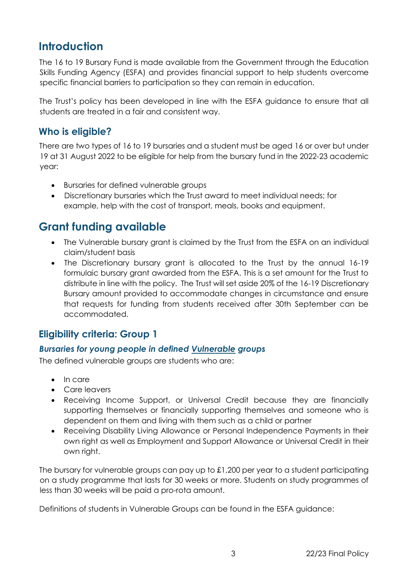## <span id="page-2-0"></span>**Introduction**

The 16 to 19 Bursary Fund is made available from the Government through the Education Skills Funding Agency (ESFA) and provides financial support to help students overcome specific financial barriers to participation so they can remain in education.

The Trust's policy has been developed in line with the ESFA guidance to ensure that all students are treated in a fair and consistent way.

### <span id="page-2-1"></span>**Who is eligible?**

There are two types of 16 to 19 bursaries and a student must be aged 16 or over but under 19 at 31 August 2022 to be eligible for help from the bursary fund in the 2022-23 academic year:

- Bursaries for defined vulnerable groups
- Discretionary bursaries which the Trust award to meet individual needs; for example, help with the cost of transport, meals, books and equipment.

## <span id="page-2-2"></span>**Grant funding available**

- The Vulnerable bursary grant is claimed by the Trust from the ESFA on an individual claim/student basis
- The Discretionary bursary grant is allocated to the Trust by the annual 16-19 formulaic bursary grant awarded from the ESFA. This is a set amount for the Trust to distribute in line with the policy. The Trust will set aside 20% of the 16-19 Discretionary Bursary amount provided to accommodate changes in circumstance and ensure that requests for funding from students received after 30th September can be accommodated.

## <span id="page-2-3"></span>**Eligibility criteria: Group 1**

#### *Bursaries for young people in defined Vulnerable groups*

The defined vulnerable groups are students who are:

- In care
- Care leavers
- Receiving Income Support, or Universal Credit because they are financially supporting themselves or financially supporting themselves and someone who is dependent on them and living with them such as a child or partner
- Receiving Disability Living Allowance or Personal Independence Payments in their own right as well as Employment and Support Allowance or Universal Credit in their own right.

The bursary for vulnerable groups can pay up to £1,200 per year to a student participating on a study programme that lasts for 30 weeks or more. Students on study programmes of less than 30 weeks will be paid a pro-rota amount.

Definitions of students in Vulnerable Groups can be found in the ESFA guidance: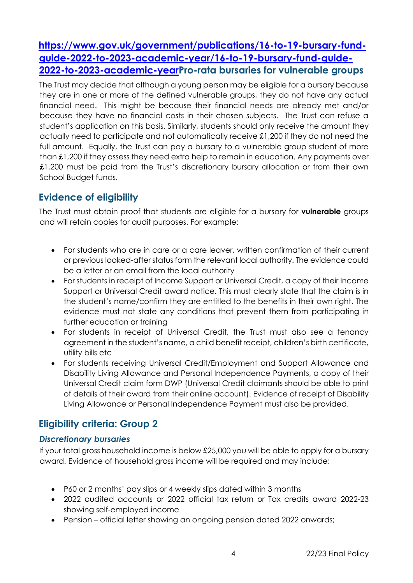## <span id="page-3-0"></span>**https://www.gov.uk/government/publications/16-to-19-bursary-fundguide-2022-to-2023-academic-year/16-to-19-bursary-fund-guide-2022-to-2023-academic-yearPro-rata bursaries for vulnerable groups**

The Trust may decide that although a young person may be eligible for a bursary because they are in one or more of the defined vulnerable groups, they do not have any actual financial need. This might be because their financial needs are already met and/or because they have no financial costs in their chosen subjects. The Trust can refuse a student's application on this basis. Similarly, students should only receive the amount they actually need to participate and not automatically receive £1,200 if they do not need the full amount. Equally, the Trust can pay a bursary to a vulnerable group student of more than £1,200 if they assess they need extra help to remain in education. Any payments over £1,200 must be paid from the Trust's discretionary bursary allocation or from their own School Budget funds.

## <span id="page-3-1"></span>**Evidence of eligibility**

The Trust must obtain proof that students are eligible for a bursary for **vulnerable** groups and will retain copies for audit purposes. For example:

- For students who are in care or a care leaver, written confirmation of their current or previous looked-after status form the relevant local authority. The evidence could be a letter or an email from the local authority
- For students in receipt of Income Support or Universal Credit, a copy of their Income Support or Universal Credit award notice. This must clearly state that the claim is in the student's name/confirm they are entitled to the benefits in their own right. The evidence must not state any conditions that prevent them from participating in further education or training
- For students in receipt of Universal Credit, the Trust must also see a tenancy agreement in the student's name, a child benefit receipt, children's birth certificate, utility bills etc
- For students receiving Universal Credit/Employment and Support Allowance and Disability Living Allowance and Personal Independence Payments, a copy of their Universal Credit claim form DWP (Universal Credit claimants should be able to print of details of their award from their online account). Evidence of receipt of Disability Living Allowance or Personal Independence Payment must also be provided.

## <span id="page-3-2"></span>**Eligibility criteria: Group 2**

#### *Discretionary bursaries*

If your total gross household income is below £25,000 you will be able to apply for a bursary award. Evidence of household gross income will be required and may include:

- P60 or 2 months' pay slips or 4 weekly slips dated within 3 months
- 2022 audited accounts or 2022 official tax return or Tax credits award 2022-23 showing self-employed income
- Pension official letter showing an ongoing pension dated 2022 onwards;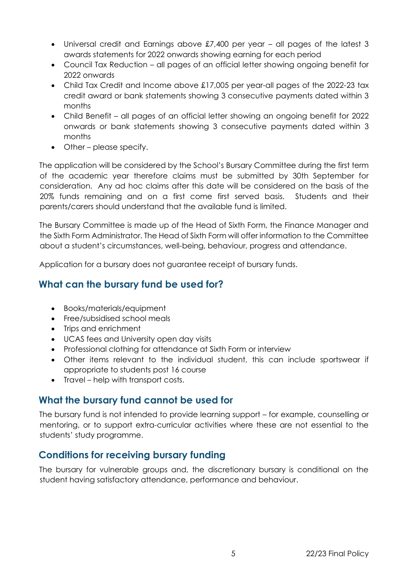- Universal credit and Earnings above £7,400 per year all pages of the latest 3 awards statements for 2022 onwards showing earning for each period
- Council Tax Reduction all pages of an official letter showing ongoing benefit for 2022 onwards
- Child Tax Credit and Income above £17,005 per year-all pages of the 2022-23 tax credit award or bank statements showing 3 consecutive payments dated within 3 months
- Child Benefit all pages of an official letter showing an ongoing benefit for 2022 onwards or bank statements showing 3 consecutive payments dated within 3 months
- Other please specify.

The application will be considered by the School's Bursary Committee during the first term of the academic year therefore claims must be submitted by 30th September for consideration. Any ad hoc claims after this date will be considered on the basis of the 20% funds remaining and on a first come first served basis. Students and their parents/carers should understand that the available fund is limited.

The Bursary Committee is made up of the Head of Sixth Form, the Finance Manager and the Sixth Form Administrator. The Head of Sixth Form will offer information to the Committee about a student's circumstances, well-being, behaviour, progress and attendance.

Application for a bursary does not guarantee receipt of bursary funds.

## <span id="page-4-0"></span>**What can the bursary fund be used for?**

- Books/materials/equipment
- Free/subsidised school meals
- Trips and enrichment
- UCAS fees and University open day visits
- Professional clothing for attendance at Sixth Form or interview
- Other items relevant to the individual student, this can include sportswear if appropriate to students post 16 course
- Travel help with transport costs.

## <span id="page-4-1"></span>**What the bursary fund cannot be used for**

The bursary fund is not intended to provide learning support – for example, counselling or mentoring, or to support extra-curricular activities where these are not essential to the students' study programme.

## <span id="page-4-2"></span>**Conditions for receiving bursary funding**

The bursary for vulnerable groups and, the discretionary bursary is conditional on the student having satisfactory attendance, performance and behaviour.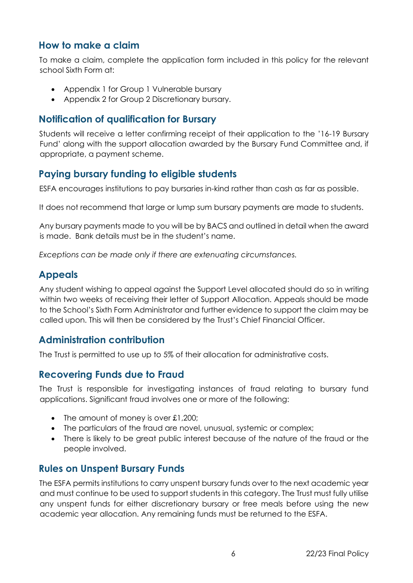#### <span id="page-5-0"></span>**How to make a claim**

To make a claim, complete the application form included in this policy for the relevant school Sixth Form at:

- Appendix 1 for Group 1 Vulnerable bursary
- Appendix 2 for Group 2 Discretionary bursary.

#### <span id="page-5-1"></span>**Notification of qualification for Bursary**

Students will receive a letter confirming receipt of their application to the '16-19 Bursary Fund' along with the support allocation awarded by the Bursary Fund Committee and, if appropriate, a payment scheme.

#### <span id="page-5-2"></span>**Paying bursary funding to eligible students**

ESFA encourages institutions to pay bursaries in-kind rather than cash as far as possible.

It does not recommend that large or lump sum bursary payments are made to students.

Any bursary payments made to you will be by BACS and outlined in detail when the award is made. Bank details must be in the student's name.

*Exceptions can be made only if there are extenuating circumstances.* 

#### <span id="page-5-3"></span>**Appeals**

Any student wishing to appeal against the Support Level allocated should do so in writing within two weeks of receiving their letter of Support Allocation. Appeals should be made to the School's Sixth Form Administrator and further evidence to support the claim may be called upon. This will then be considered by the Trust's Chief Financial Officer.

#### <span id="page-5-4"></span>**Administration contribution**

The Trust is permitted to use up to 5% of their allocation for administrative costs.

#### <span id="page-5-5"></span>**Recovering Funds due to Fraud**

The Trust is responsible for investigating instances of fraud relating to bursary fund applications. Significant fraud involves one or more of the following:

- The amount of money is over £1,200;
- The particulars of the fraud are novel, unusual, systemic or complex;
- There is likely to be great public interest because of the nature of the fraud or the people involved.

#### <span id="page-5-6"></span>**Rules on Unspent Bursary Funds**

The ESFA permits institutions to carry unspent bursary funds over to the next academic year and must continue to be used to support students in this category. The Trust must fully utilise any unspent funds for either discretionary bursary or free meals before using the new academic year allocation. Any remaining funds must be returned to the ESFA.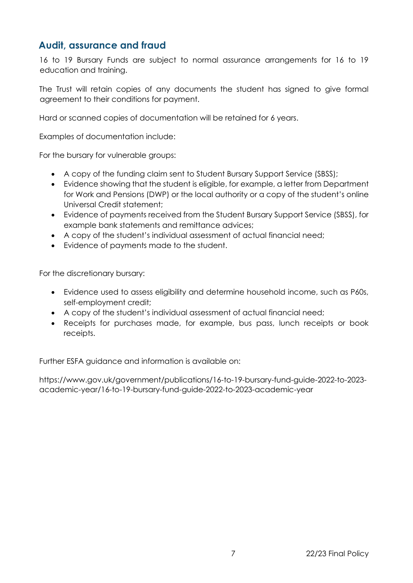#### <span id="page-6-0"></span>**Audit, assurance and fraud**

16 to 19 Bursary Funds are subject to normal assurance arrangements for 16 to 19 education and training.

The Trust will retain copies of any documents the student has signed to give formal agreement to their conditions for payment.

Hard or scanned copies of documentation will be retained for 6 years.

Examples of documentation include:

For the bursary for vulnerable groups:

- A copy of the funding claim sent to Student Bursary Support Service (SBSS);
- Evidence showing that the student is eligible, for example, a letter from Department for Work and Pensions (DWP) or the local authority or a copy of the student's online Universal Credit statement;
- Evidence of payments received from the Student Bursary Support Service (SBSS), for example bank statements and remittance advices;
- A copy of the student's individual assessment of actual financial need;
- Evidence of payments made to the student.

For the discretionary bursary:

- Evidence used to assess eligibility and determine household income, such as P60s, self-employment credit;
- A copy of the student's individual assessment of actual financial need;
- Receipts for purchases made, for example, bus pass, lunch receipts or book receipts.

Further ESFA guidance and information is available on:

https://www.gov.uk/government/publications/16-to-19-bursary-fund-guide-2022-to-2023 academic-year/16-to-19-bursary-fund-guide-2022-to-2023-academic-year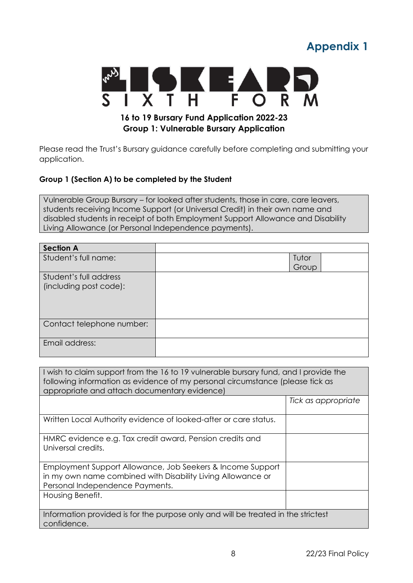## **Appendix 1**

<span id="page-7-0"></span>

Please read the Trust's Bursary guidance carefully before completing and submitting your application.

#### **Group 1 (Section A) to be completed by the Student**

Vulnerable Group Bursary – for looked after students, those in care, care leavers, students receiving Income Support (or Universal Credit) in their own name and disabled students in receipt of both Employment Support Allowance and Disability Living Allowance (or Personal Independence payments).

| <b>Section A</b>          |       |  |
|---------------------------|-------|--|
| Student's full name:      | Tutor |  |
|                           | Group |  |
| Student's full address    |       |  |
| (including post code):    |       |  |
|                           |       |  |
|                           |       |  |
|                           |       |  |
| Contact telephone number: |       |  |
|                           |       |  |
| Email address:            |       |  |
|                           |       |  |

| I wish to claim support from the 16 to 19 vulnerable bursary fund, and I provide the<br>following information as evidence of my personal circumstance (please tick as<br>appropriate and attach documentary evidence) |                     |  |
|-----------------------------------------------------------------------------------------------------------------------------------------------------------------------------------------------------------------------|---------------------|--|
|                                                                                                                                                                                                                       | Tick as appropriate |  |
| Written Local Authority evidence of looked-after or care status.                                                                                                                                                      |                     |  |
| HMRC evidence e.g. Tax credit award, Pension credits and<br>Universal credits.                                                                                                                                        |                     |  |
| Employment Support Allowance, Job Seekers & Income Support<br>in my own name combined with Disability Living Allowance or<br>Personal Independence Payments.                                                          |                     |  |
| Housing Benefit.                                                                                                                                                                                                      |                     |  |
| Information provided is for the purpose only and will be treated in the strictest<br>confidence.                                                                                                                      |                     |  |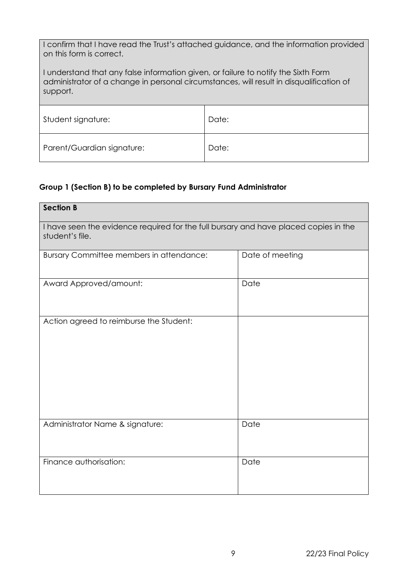| I confirm that I have read the Trust's attached guidance, and the information provided |
|----------------------------------------------------------------------------------------|
| on this form is correct.                                                               |

I understand that any false information given, or failure to notify the Sixth Form administrator of a change in personal circumstances, will result in disqualification of support.

| Student signature:         | Date: |
|----------------------------|-------|
|                            |       |
| Parent/Guardian signature: | Date: |

#### **Group 1 (Section B) to be completed by Bursary Fund Administrator**

| <b>Section B</b>                                                                                        |                 |  |
|---------------------------------------------------------------------------------------------------------|-----------------|--|
| I have seen the evidence required for the full bursary and have placed copies in the<br>student's file. |                 |  |
| Bursary Committee members in attendance:                                                                | Date of meeting |  |
| Award Approved/amount:                                                                                  | Date            |  |
| Action agreed to reimburse the Student:                                                                 |                 |  |
| Administrator Name & signature:                                                                         | Date            |  |
| Finance authorisation:                                                                                  | Date            |  |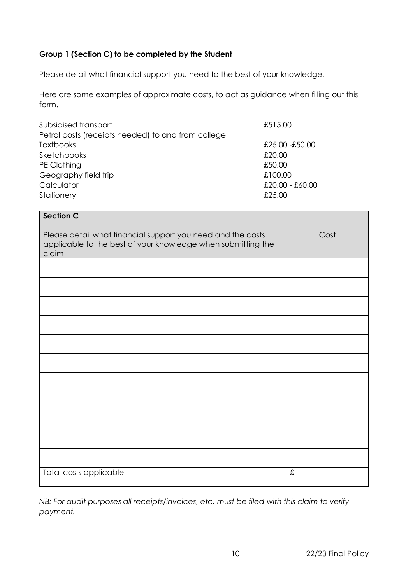#### **Group 1 (Section C) to be completed by the Student**

Please detail what financial support you need to the best of your knowledge.

Here are some examples of approximate costs, to act as guidance when filling out this form.

| Subsidised transport                               | £515.00         |
|----------------------------------------------------|-----------------|
| Petrol costs (receipts needed) to and from college |                 |
| <b>Textbooks</b>                                   | £25.00 -£50.00  |
| Sketchbooks                                        | £20.00          |
| PE Clothing                                        | £50.00          |
| Geography field trip                               | £100.00         |
| Calculator                                         | £20.00 - £60.00 |
| Stationery                                         | £25.00          |

| <b>Section C</b>                                                                                                                     |           |
|--------------------------------------------------------------------------------------------------------------------------------------|-----------|
| Please detail what financial support you need and the costs<br>applicable to the best of your knowledge when submitting the<br>claim | Cost      |
|                                                                                                                                      |           |
|                                                                                                                                      |           |
|                                                                                                                                      |           |
|                                                                                                                                      |           |
|                                                                                                                                      |           |
|                                                                                                                                      |           |
|                                                                                                                                      |           |
|                                                                                                                                      |           |
|                                                                                                                                      |           |
|                                                                                                                                      |           |
|                                                                                                                                      |           |
| Total costs applicable                                                                                                               | $\pounds$ |

*NB: For audit purposes all receipts/invoices, etc. must be filed with this claim to verify payment.*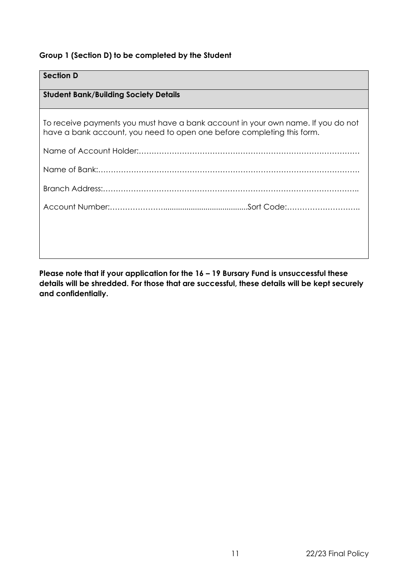#### **Group 1 (Section D) to be completed by the Student**

## **Section D Student Bank/Building Society Details** To receive payments you must have a bank account in your own name. If you do not have a bank account, you need to open one before completing this form. Name of Account Holder:…………………………………………………………………………… Name of Bank:…………………………………………………………………………………………. Branch Address:……………………………………………………………………………………….. Account Number:…………………........................................Sort Code:………………………..

**Please note that if your application for the 16 – 19 Bursary Fund is unsuccessful these details will be shredded. For those that are successful, these details will be kept securely and confidentially.**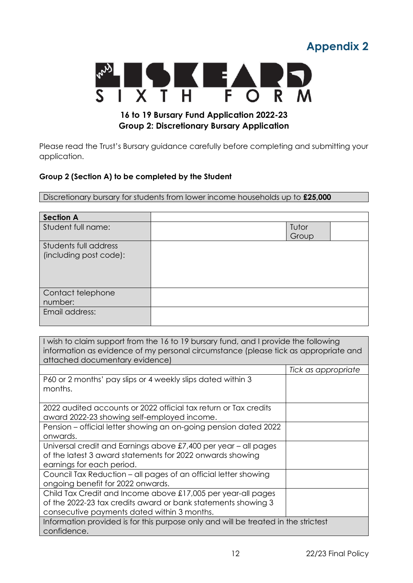## **Appendix 2**

<span id="page-11-0"></span>

#### **16 to 19 Bursary Fund Application 2022-23 Group 2: Discretionary Bursary Application**

Please read the Trust's Bursary guidance carefully before completing and submitting your application.

#### **Group 2 (Section A) to be completed by the Student**

Discretionary bursary for students from lower income households up to **£25,000**

| <b>Section A</b>                                |                |  |
|-------------------------------------------------|----------------|--|
| Student full name:                              | Tutor<br>Group |  |
| Students full address<br>(including post code): |                |  |
| Contact telephone<br>number:                    |                |  |
| Email address:                                  |                |  |

I wish to claim support from the 16 to 19 bursary fund, and I provide the following information as evidence of my personal circumstance (please tick as appropriate and attached documentary evidence)

|                                                                                    | Tick as appropriate |
|------------------------------------------------------------------------------------|---------------------|
| P60 or 2 months' pay slips or 4 weekly slips dated within 3                        |                     |
| months.                                                                            |                     |
|                                                                                    |                     |
| 2022 audited accounts or 2022 official tax return or Tax credits                   |                     |
| award 2022-23 showing self-employed income.                                        |                     |
| Pension - official letter showing an on-going pension dated 2022                   |                     |
| onwards.                                                                           |                     |
| Universal credit and Earnings above £7,400 per year – all pages                    |                     |
| of the latest 3 award statements for 2022 onwards showing                          |                     |
| earnings for each period.                                                          |                     |
| Council Tax Reduction – all pages of an official letter showing                    |                     |
| ongoing benefit for 2022 onwards.                                                  |                     |
| Child Tax Credit and Income above £17,005 per year-all pages                       |                     |
| of the 2022-23 tax credits award or bank statements showing 3                      |                     |
| consecutive payments dated within 3 months.                                        |                     |
| Information provided is for this purpose only and will be treated in the strictest |                     |
| confidence.                                                                        |                     |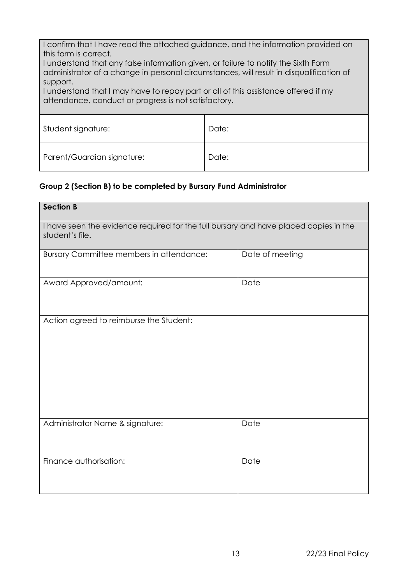I confirm that I have read the attached guidance, and the information provided on this form is correct.

I understand that any false information given, or failure to notify the Sixth Form administrator of a change in personal circumstances, will result in disqualification of support.

I understand that I may have to repay part or all of this assistance offered if my attendance, conduct or progress is not satisfactory.

| Student signature:         | Date: |
|----------------------------|-------|
| Parent/Guardian signature: | Date: |

#### **Group 2 (Section B) to be completed by Bursary Fund Administrator**

| <b>Section B</b>                                                                                        |                 |  |
|---------------------------------------------------------------------------------------------------------|-----------------|--|
| I have seen the evidence required for the full bursary and have placed copies in the<br>student's file. |                 |  |
| Bursary Committee members in attendance:                                                                | Date of meeting |  |
| Award Approved/amount:                                                                                  | Date            |  |
| Action agreed to reimburse the Student:                                                                 |                 |  |
| Administrator Name & signature:                                                                         | Date            |  |
| Finance authorisation:                                                                                  | Date            |  |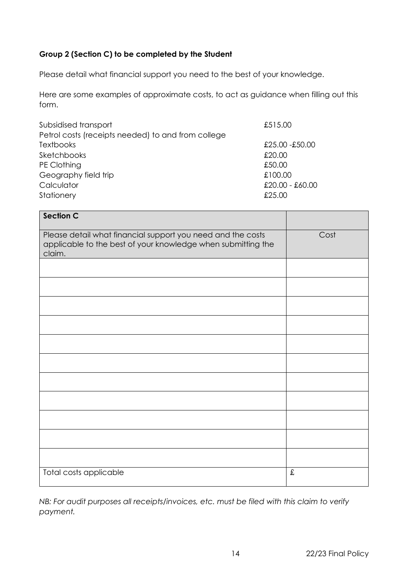#### **Group 2 (Section C) to be completed by the Student**

Please detail what financial support you need to the best of your knowledge.

Here are some examples of approximate costs, to act as guidance when filling out this form.

| Subsidised transport                               | £515.00           |
|----------------------------------------------------|-------------------|
| Petrol costs (receipts needed) to and from college |                   |
| <b>Textbooks</b>                                   | £25.00 -£50.00    |
| Sketchbooks                                        | £20.00            |
| PE Clothing                                        | £50.00            |
| Geography field trip                               | £100.00           |
| Calculator                                         | $£20.00 - £60.00$ |
| Stationery                                         | £25.00            |

| <b>Section C</b>                                                                                                                      |           |
|---------------------------------------------------------------------------------------------------------------------------------------|-----------|
| Please detail what financial support you need and the costs<br>applicable to the best of your knowledge when submitting the<br>claim. | Cost      |
|                                                                                                                                       |           |
|                                                                                                                                       |           |
|                                                                                                                                       |           |
|                                                                                                                                       |           |
|                                                                                                                                       |           |
|                                                                                                                                       |           |
|                                                                                                                                       |           |
|                                                                                                                                       |           |
|                                                                                                                                       |           |
|                                                                                                                                       |           |
|                                                                                                                                       |           |
| Total costs applicable                                                                                                                | $\pounds$ |

*NB: For audit purposes all receipts/invoices, etc. must be filed with this claim to verify payment.*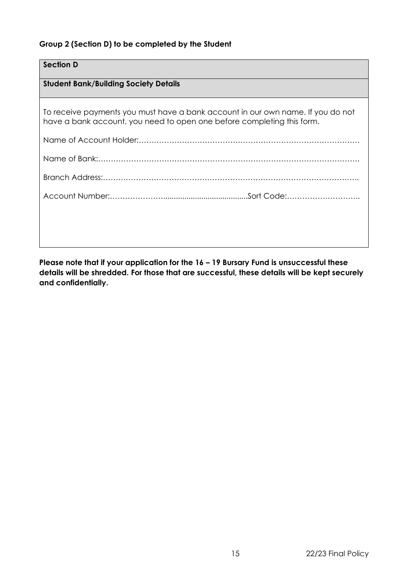#### **Group 2 (Section D) to be completed by the Student**

| <b>Section D</b>                                                                                                                                          |
|-----------------------------------------------------------------------------------------------------------------------------------------------------------|
| <b>Student Bank/Building Society Details</b>                                                                                                              |
| To receive payments you must have a bank account in our own name. If you do not<br>have a bank account, you need to open one before completing this form. |
|                                                                                                                                                           |
|                                                                                                                                                           |
|                                                                                                                                                           |
|                                                                                                                                                           |
|                                                                                                                                                           |
|                                                                                                                                                           |

**Please note that if your application for the 16 – 19 Bursary Fund is unsuccessful these details will be shredded. For those that are successful, these details will be kept securely and confidentially.**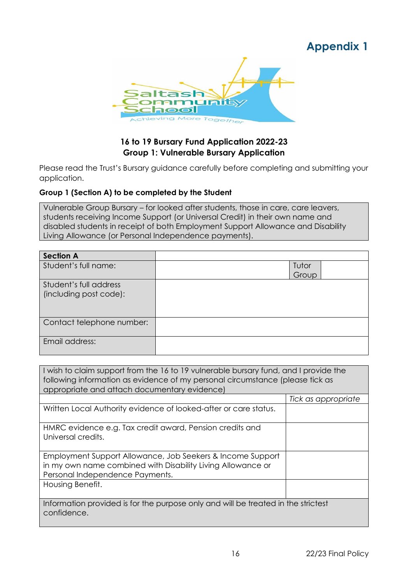## **Appendix 1**

<span id="page-15-0"></span>

#### **16 to 19 Bursary Fund Application 2022-23 Group 1: Vulnerable Bursary Application**

Please read the Trust's Bursary guidance carefully before completing and submitting your application.

#### **Group 1 (Section A) to be completed by the Student**

Vulnerable Group Bursary – for looked after students, those in care, care leavers, students receiving Income Support (or Universal Credit) in their own name and disabled students in receipt of both Employment Support Allowance and Disability Living Allowance (or Personal Independence payments).

| <b>Section A</b>          |       |  |
|---------------------------|-------|--|
| Student's full name:      | Tutor |  |
|                           | Group |  |
| Student's full address    |       |  |
| (including post code):    |       |  |
|                           |       |  |
|                           |       |  |
| Contact telephone number: |       |  |
|                           |       |  |
| Email address:            |       |  |
|                           |       |  |

| I wish to claim support from the 16 to 19 vulnerable bursary fund, and I provide the<br>following information as evidence of my personal circumstance (please tick as<br>appropriate and attach documentary evidence) |                     |  |
|-----------------------------------------------------------------------------------------------------------------------------------------------------------------------------------------------------------------------|---------------------|--|
|                                                                                                                                                                                                                       | Tick as appropriate |  |
| Written Local Authority evidence of looked-after or care status.                                                                                                                                                      |                     |  |
| HMRC evidence e.g. Tax credit award, Pension credits and<br>Universal credits.                                                                                                                                        |                     |  |
| Employment Support Allowance, Job Seekers & Income Support<br>in my own name combined with Disability Living Allowance or<br>Personal Independence Payments.                                                          |                     |  |
| Housing Benefit.                                                                                                                                                                                                      |                     |  |
| Information provided is for the purpose only and will be treated in the strictest<br>confidence.                                                                                                                      |                     |  |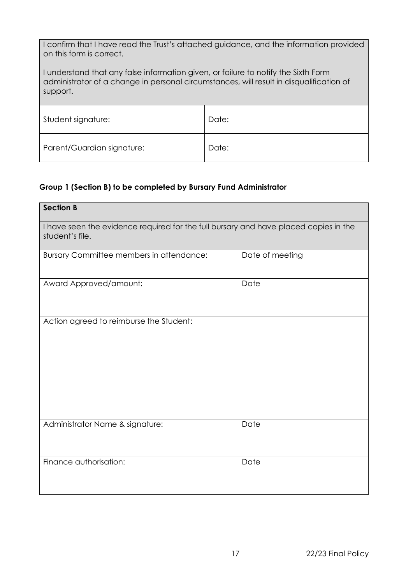| I confirm that I have read the Trust's attached guidance, and the information provided |  |
|----------------------------------------------------------------------------------------|--|
| on this form is correct.                                                               |  |

I understand that any false information given, or failure to notify the Sixth Form administrator of a change in personal circumstances, will result in disqualification of support.

| Student signature:         | Date: |
|----------------------------|-------|
|                            |       |
| Parent/Guardian signature: | Date: |

#### **Group 1 (Section B) to be completed by Bursary Fund Administrator**

| <b>Section B</b>                                                                                        |                 |  |
|---------------------------------------------------------------------------------------------------------|-----------------|--|
| I have seen the evidence required for the full bursary and have placed copies in the<br>student's file. |                 |  |
| Bursary Committee members in attendance:                                                                | Date of meeting |  |
| Award Approved/amount:                                                                                  | Date            |  |
| Action agreed to reimburse the Student:                                                                 |                 |  |
| Administrator Name & signature:                                                                         | Date            |  |
| Finance authorisation:                                                                                  | Date            |  |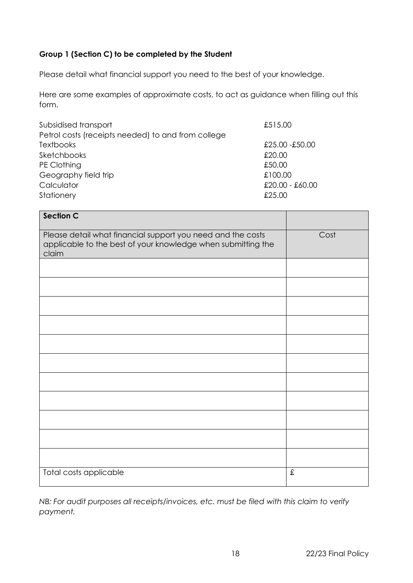#### **Group 1 (Section C) to be completed by the Student**

Please detail what financial support you need to the best of your knowledge.

Here are some examples of approximate costs, to act as guidance when filling out this form.

| Subsidised transport                               | £515.00         |
|----------------------------------------------------|-----------------|
| Petrol costs (receipts needed) to and from college |                 |
| <b>Textbooks</b>                                   | £25.00 -£50.00  |
| Sketchbooks                                        | £20.00          |
| PE Clothing                                        | £50.00          |
| Geography field trip                               | £100.00         |
| Calculator                                         | £20.00 - £60.00 |
| Stationery                                         | £25.00          |

| <b>Section C</b>                                                                                                                     |           |
|--------------------------------------------------------------------------------------------------------------------------------------|-----------|
| Please detail what financial support you need and the costs<br>applicable to the best of your knowledge when submitting the<br>claim | Cost      |
|                                                                                                                                      |           |
|                                                                                                                                      |           |
|                                                                                                                                      |           |
|                                                                                                                                      |           |
|                                                                                                                                      |           |
|                                                                                                                                      |           |
|                                                                                                                                      |           |
|                                                                                                                                      |           |
|                                                                                                                                      |           |
|                                                                                                                                      |           |
|                                                                                                                                      |           |
| Total costs applicable                                                                                                               | $\pounds$ |

*NB: For audit purposes all receipts/invoices, etc. must be filed with this claim to verify payment.*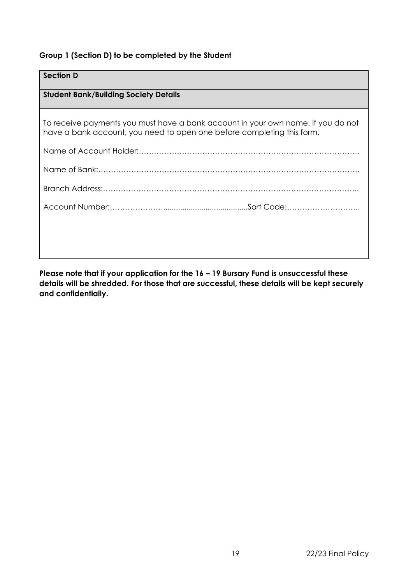#### **Group 1 (Section D) to be completed by the Student**

## **Section D Student Bank/Building Society Details** To receive payments you must have a bank account in your own name. If you do not have a bank account, you need to open one before completing this form. Name of Account Holder:…………………………………………………………………………… Name of Bank:…………………………………………………………………………………………. Branch Address:……………………………………………………………………………………….. Account Number:…………………........................................Sort Code:………………………..

**Please note that if your application for the 16 – 19 Bursary Fund is unsuccessful these details will be shredded. For those that are successful, these details will be kept securely and confidentially.**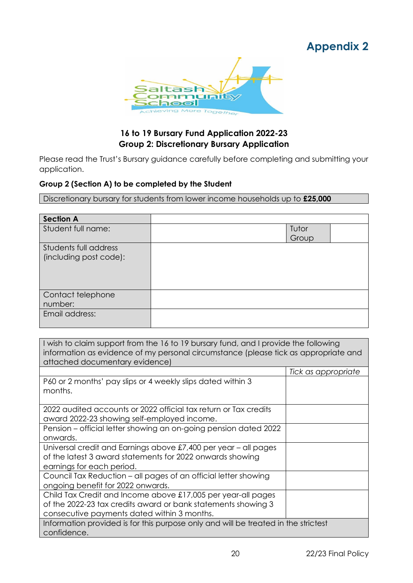## **Appendix 2**

<span id="page-19-0"></span>

#### **16 to 19 Bursary Fund Application 2022-23 Group 2: Discretionary Bursary Application**

Please read the Trust's Bursary guidance carefully before completing and submitting your application.

#### **Group 2 (Section A) to be completed by the Student**

Discretionary bursary for students from lower income households up to **£25,000**

| <b>Section A</b>       |       |  |
|------------------------|-------|--|
| Student full name:     | Tutor |  |
|                        | Group |  |
| Students full address  |       |  |
| (including post code): |       |  |
|                        |       |  |
|                        |       |  |
|                        |       |  |
| Contact telephone      |       |  |
| number:                |       |  |
| Email address:         |       |  |
|                        |       |  |

I wish to claim support from the 16 to 19 bursary fund, and I provide the following information as evidence of my personal circumstance (please tick as appropriate and attached documentary evidence)

|                                                                                    | Tick as appropriate |  |
|------------------------------------------------------------------------------------|---------------------|--|
| P60 or 2 months' pay slips or 4 weekly slips dated within 3                        |                     |  |
| months.                                                                            |                     |  |
|                                                                                    |                     |  |
| 2022 audited accounts or 2022 official tax return or Tax credits                   |                     |  |
| award 2022-23 showing self-employed income.                                        |                     |  |
| Pension - official letter showing an on-going pension dated 2022                   |                     |  |
| onwards.                                                                           |                     |  |
| Universal credit and Earnings above £7,400 per year – all pages                    |                     |  |
| of the latest 3 award statements for 2022 onwards showing                          |                     |  |
| earnings for each period.                                                          |                     |  |
| Council Tax Reduction – all pages of an official letter showing                    |                     |  |
| ongoing benefit for 2022 onwards.                                                  |                     |  |
| Child Tax Credit and Income above £17,005 per year-all pages                       |                     |  |
| of the 2022-23 tax credits award or bank statements showing 3                      |                     |  |
| consecutive payments dated within 3 months.                                        |                     |  |
| Information provided is for this purpose only and will be treated in the strictest |                     |  |
| confidence.                                                                        |                     |  |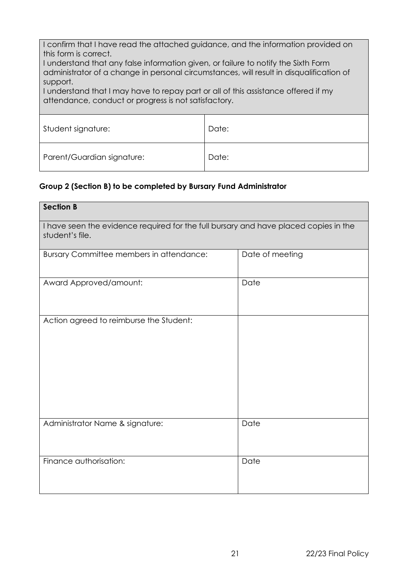I confirm that I have read the attached guidance, and the information provided on this form is correct.

I understand that any false information given, or failure to notify the Sixth Form administrator of a change in personal circumstances, will result in disqualification of support.

I understand that I may have to repay part or all of this assistance offered if my attendance, conduct or progress is not satisfactory.

| Student signature:         | Date: |
|----------------------------|-------|
| Parent/Guardian signature: | Date: |

#### **Group 2 (Section B) to be completed by Bursary Fund Administrator**

| <b>Section B</b>                                                                                        |                 |  |
|---------------------------------------------------------------------------------------------------------|-----------------|--|
| I have seen the evidence required for the full bursary and have placed copies in the<br>student's file. |                 |  |
| Bursary Committee members in attendance:                                                                | Date of meeting |  |
| Award Approved/amount:                                                                                  | Date            |  |
| Action agreed to reimburse the Student:                                                                 |                 |  |
| Administrator Name & signature:                                                                         | Date            |  |
| Finance authorisation:                                                                                  | Date            |  |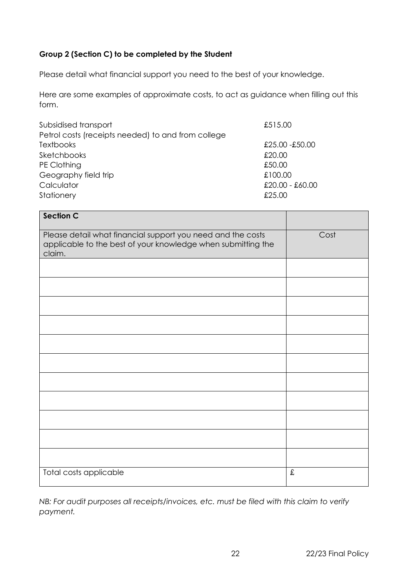#### **Group 2 (Section C) to be completed by the Student**

Please detail what financial support you need to the best of your knowledge.

Here are some examples of approximate costs, to act as guidance when filling out this form.

| Subsidised transport                               | £515.00           |
|----------------------------------------------------|-------------------|
| Petrol costs (receipts needed) to and from college |                   |
| <b>Textbooks</b>                                   | £25.00 -£50.00    |
| Sketchbooks                                        | £20.00            |
| PE Clothing                                        | £50.00            |
| Geography field trip                               | £100.00           |
| Calculator                                         | $£20.00 - £60.00$ |
| Stationery                                         | £25.00            |

| <b>Section C</b>                                                                                                                      |      |
|---------------------------------------------------------------------------------------------------------------------------------------|------|
| Please detail what financial support you need and the costs<br>applicable to the best of your knowledge when submitting the<br>claim. | Cost |
|                                                                                                                                       |      |
|                                                                                                                                       |      |
|                                                                                                                                       |      |
|                                                                                                                                       |      |
|                                                                                                                                       |      |
|                                                                                                                                       |      |
|                                                                                                                                       |      |
|                                                                                                                                       |      |
|                                                                                                                                       |      |
|                                                                                                                                       |      |
|                                                                                                                                       |      |
| Total costs applicable                                                                                                                | £    |

*NB: For audit purposes all receipts/invoices, etc. must be filed with this claim to verify payment.*